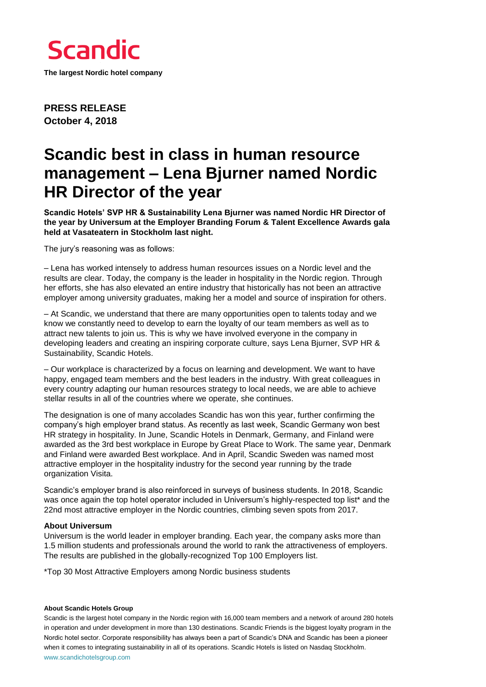

**The largest Nordic hotel company**

**PRESS RELEASE October 4, 2018**

## **Scandic best in class in human resource management – Lena Bjurner named Nordic HR Director of the year**

**Scandic Hotels' SVP HR & Sustainability Lena Bjurner was named Nordic HR Director of the year by Universum at the Employer Branding Forum & Talent Excellence Awards gala held at Vasateatern in Stockholm last night.** 

The jury's reasoning was as follows:

– Lena has worked intensely to address human resources issues on a Nordic level and the results are clear. Today, the company is the leader in hospitality in the Nordic region. Through her efforts, she has also elevated an entire industry that historically has not been an attractive employer among university graduates, making her a model and source of inspiration for others.

– At Scandic, we understand that there are many opportunities open to talents today and we know we constantly need to develop to earn the loyalty of our team members as well as to attract new talents to join us. This is why we have involved everyone in the company in developing leaders and creating an inspiring corporate culture, says Lena Bjurner, SVP HR & Sustainability, Scandic Hotels.

– Our workplace is characterized by a focus on learning and development. We want to have happy, engaged team members and the best leaders in the industry. With great colleagues in every country adapting our human resources strategy to local needs, we are able to achieve stellar results in all of the countries where we operate, she continues.

The designation is one of many accolades Scandic has won this year, further confirming the company's high employer brand status. As recently as last week, Scandic Germany won best HR strategy in hospitality. In June, Scandic Hotels in Denmark, Germany, and Finland were awarded as the 3rd best workplace in Europe by Great Place to Work. The same year, Denmark and Finland were awarded Best workplace. And in April, Scandic Sweden was named most attractive employer in the hospitality industry for the second year running by the trade organization Visita.

Scandic's employer brand is also reinforced in surveys of business students. In 2018, Scandic was once again the top hotel operator included in Universum's highly-respected top list\* and the 22nd most attractive employer in the Nordic countries, climbing seven spots from 2017.

## **About Universum**

Universum is the world leader in employer branding. Each year, the company asks more than 1.5 million students and professionals around the world to rank the attractiveness of employers. The results are published in the globally-recognized Top 100 Employers list.

\*Top 30 Most Attractive Employers among Nordic business students

## **About Scandic Hotels Group**

Scandic is the largest hotel company in the Nordic region with 16,000 team members and a network of around 280 hotels in operation and under development in more than 130 destinations. Scandic Friends is the biggest loyalty program in the Nordic hotel sector. Corporate responsibility has always been a part of Scandic's DNA and Scandic has been a pioneer when it comes to integrating sustainability in all of its operations. Scandic Hotels is listed on Nasdaq Stockholm. [www.scandichotelsgroup.com](http://www.scandichotelsgroup.com/)